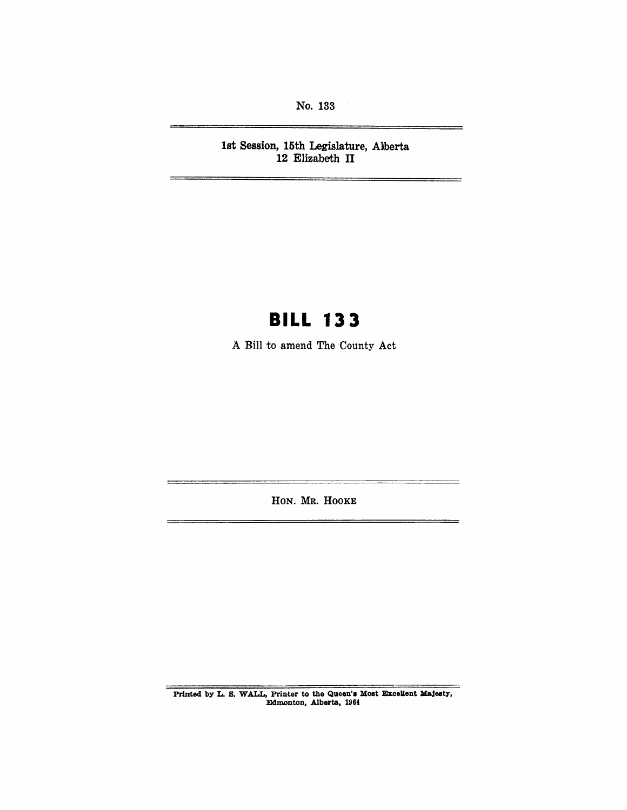No. 133

1st Session, 15th Legislature, Alberta 12 Elizabeth II

# **BILL 133**

A Bill to amend The County Act

HON. MR. HOOKE

Printed by L. S. WALL, Printer to the Queen's Most Excellent Majesty, Edmonton, Alberta, 1964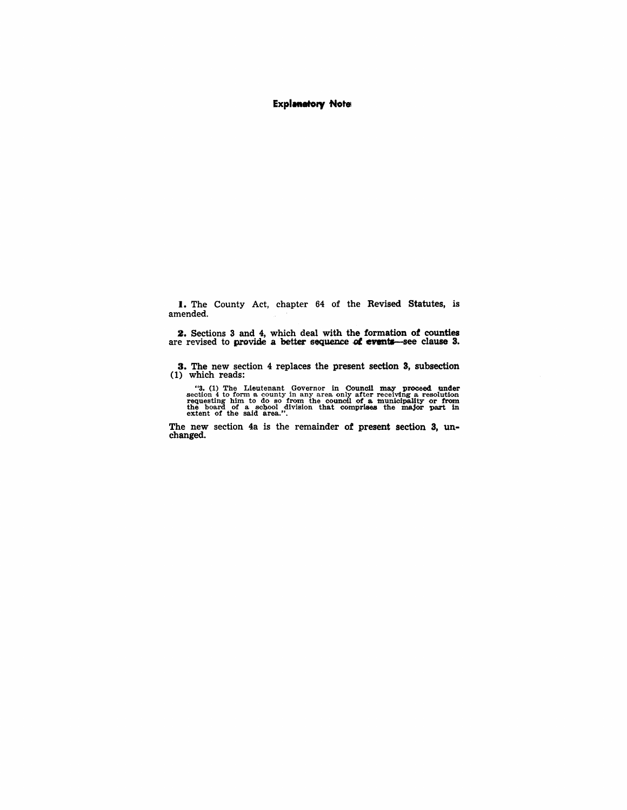#### **Explanatory Notel**

I. The County Act, chapter 64 of the Revised Statutes, is amended.

2. Sections 3 and 4, which deal with the formation *ot* counties are revised to provide a better sequence of events—see clause 3.

3. The new section 4 replaces the present section 3, subsection (1) which reads:

"3. (1) The Lieutenant Governor in Council may proceed under section 4 to form a county in any area only after receiving a resolution requesting him to do so from the council of a municipality or from the board of a schoo

The new section 4a is the remainder of present section 3, unchanged.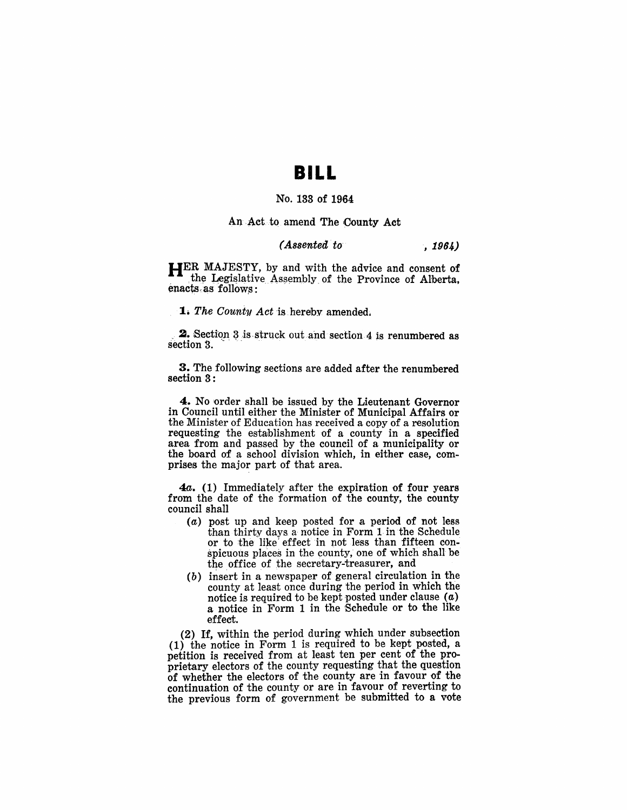## **BILL**

#### No. 133 of 1964

#### An Act to amend The County Act

### *(Assented to . 1964)*

HER MAJESTY, by and with the advice and consent of the Legislative Assembly of the Province of Alberta, enacts as follows:

**1.** The County *Act* is hereby amended.

**2.** Section  $3$  is struck out and section 4 is renumbered as section  $3$ .

3. The following sections are added after the renumbered section 3:

4. No order shall be issued by the Lieutenant Governor in Council until either the Minister of Municipal Affairs or the Minister of Education has received a copy of a resolution requesting the establishment of a county in a specified area from and passed by the council of a municipality or the board of a school division which, in either case, comprises the major part of that area.

*4a.* (1) Immediately after the expiration of four years from the date of the formation of the county, the county council shall

- (a) post up and keep posted for a period of not less than thirty days a notice in Form 1 in the Schedule or to the like effect in not less than fifteen conspicuous places in the county, one of which shall be the office of the secretary-treasurer, and
- $(b)$  insert in a newspaper of general circulation in the county at least once during the period in which the notice is required to be kept posted under clause  $(a)$ a notice in Form 1 in the Schedule or to the like effect.

(2) If, within the period during which under subsection (1) the notice in Form 1 is required to be kept posted, a petition is received from at least ten per cent of the proprietary electors of the county requesting that the question of whether the electors of the county are in favour of the continuation of the county or are in favour of reverting to the previous form of government be submitted to a vote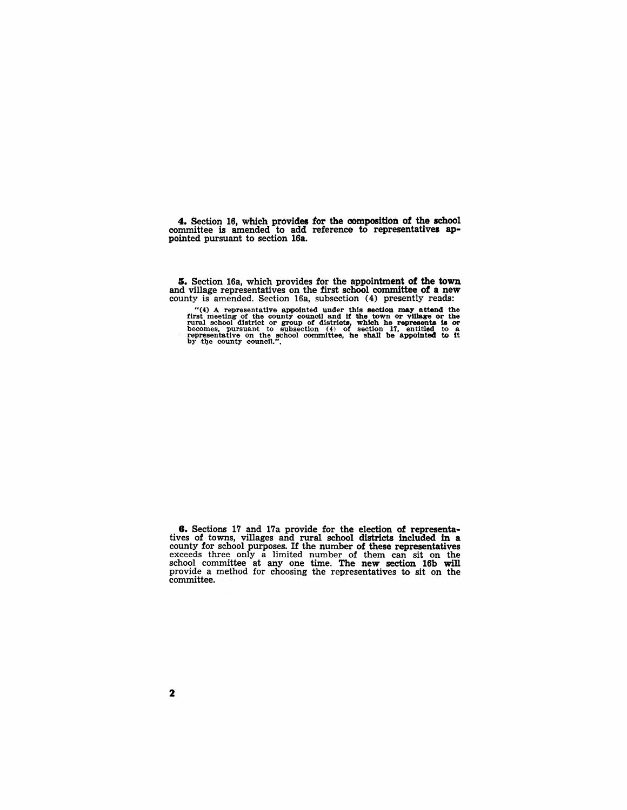4. Section 16, which provides tor the composition of the school committee is amended to add reference to representatives appointed pursuant to section l6a.

I. Section 16a, which provides for the appointment of the town and village representatives on the first school committee of a new county is amended. Section 16a, subsection (4) presently reads:

"(4) A representative appointed under this section may attend the first meeting of the county council and if the town or village or the rural school district or group of districts, which he represents is or becomes, pursu

**6.** Sections 17 and 17a provide for the election of representatives of towns, villages and rural school districts included in a county for school purposes. If the number of these representatives exceeds three only a limit school committee at any one time. The new section 16b will provide a method for choosing the representatives to sit on the committee.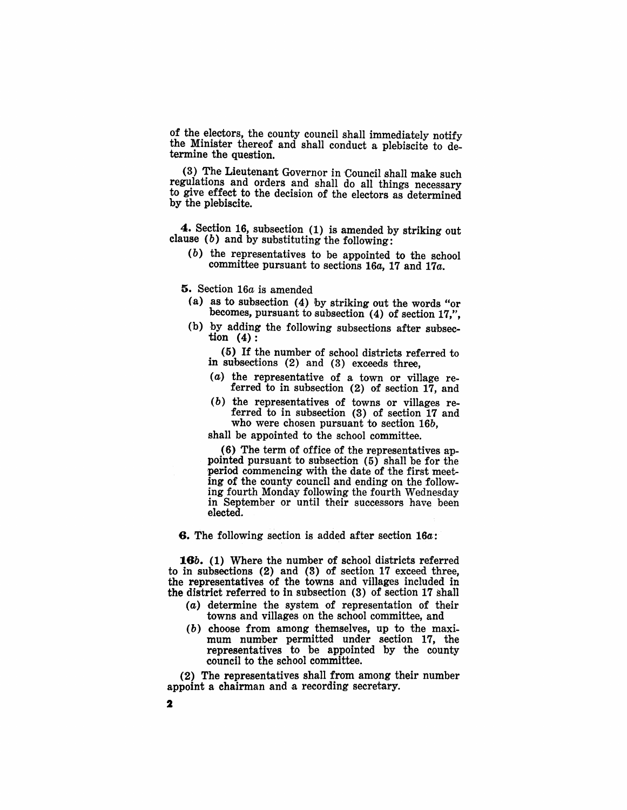of the electors, the county council shall immediately notify the Minister thereof and shall conduct a plebiscite to determine the question.

(3) The Lieutenant Governor in Council shall make such regulations and orders and shall do all things necessary to give effect to the decision of the electors as determined by the plebiscite.

4. Section 16, subsection (1) is amended by striking out clause (b) and by substituting the following:

(b) the representatives to be appointed to the school committee pursuant to sections *16a,* 17 and *17a.* 

5. Section *16a* is amended

- (a) as to subsection (4) by striking out the words "or becomes, pursuant to subsection (4) of section 17,",
- (b) by adding the following subsections after subsection  $(4)$ :

(5) If the number of school districts referred to in subsections (2) and (3) exceeds three,

- (a) the representative of a town or village referred to in subsection (2) of section 17, and
- (b) the representatives of towns or villages referred to in subsection (3) of section 17 and who were chosen pursuant to section *16b,*

shall be appointed to the school committee.

 $(6)$  The term of office of the representatives appointed pursuant to subsection (5) shall be for the 'period commencing with the date of the first meeting of the county council and ending on the following fourth Monday following the fourth Wednesday in September or until their successors have been elected.

6. The following section is added after section *16a:* 

*16b.* (1) Where the number of school districts referred to in subsections (2) and (3) of section 17 exceed three, the representatives of the towns and villages included in the district referred to in subsection (3) of section 17 shall

- (a) determine the system of representation of their towns and villages on the school committee, and
- (b) choose from among themselves, up to the maximum number permitted under section 17, the representatives to be appointed by the county council to the school committee.

(2) The representatives shall from among their number appoint a chairman and a recording secretary.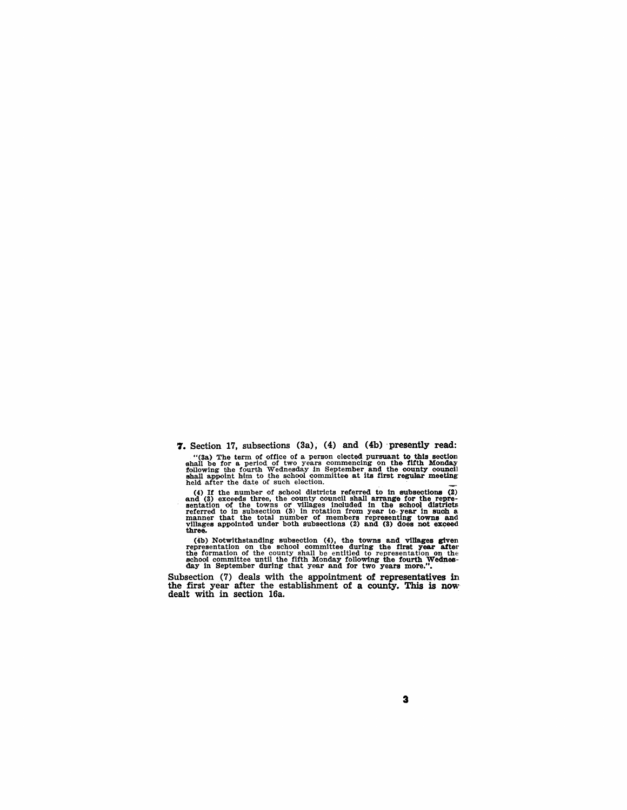**7.** Section 17, subsections (3a), (4) and (4b) 'presently read:

"(3a) The term of office of a person elected pursuant to this section shall be for a period of two years commencing on the fifth Monday following the fourth Wednesday in September and the county council shall appoint him to the school committee at its first regular meeting held after the date of such election.

(4) If the number of school districts referred to in subsections (2) and (3) exceeds three, the county council shall arrange for the repre-sentation of the towns or villages included in the school districts referred to in subsection (3) in rotation from year to-year in such a manner that the total number of members representing towns and villages appointed under both subsections (2) and (3) does not exceed three.

(4b) Notwithstanding subsection  $(4)$ , the towns and villages given representation on the school committee during the first year after the formation of the county shall be entitled to representation on the school committe

Subsection (7) deals with the appointment of representatives in the first year after the establishment of a county. This is now dealt with in section 16a.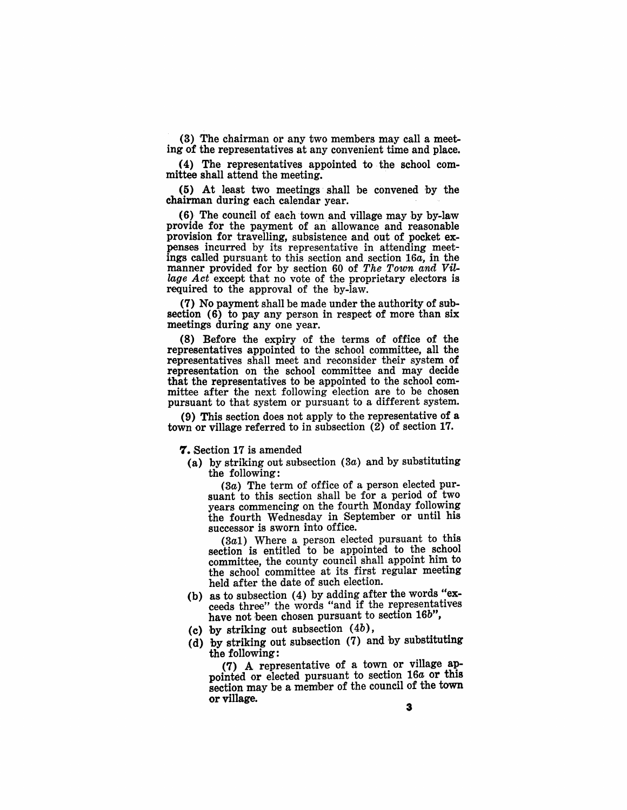(3) 'The chairman or any two members may call a meeting of the representatives at any convenient time and place.

(4) The representatives appointed to the school committee shall attend the meeting.

(5) At least two meetings shall be convened by the chairman during each calendar year. .

(6) The council of each town and village may by by-law provide for the payment of an allowance and reasonable provision for travelling, subsistence and out of pocket expenses incurred by its representative in attending meetings called pursuant to this section and section 16a, in the manner provided for by section 60 of The Town and Vil*lage Act* except that no vote of the proprietary electors is required to the approval of the by-law.

(7) No payment shall be made under the authority of subsection (6) to pay any person in respect of more than six meetings during any one year.

(8) Before the expiry of the terms of office of the representatives appointed to the school committee, all the representatives shall meet and reconsider their system of representation on the school committee and may decide that the representatives to be appointed to the school committee after the next following election are to be chosen pursuant to that system or pursuant to a different system.

(9) This section does not apply to the representative of a town or village referred to in subsection (2) of section 17.

7. Section 17 is amended

(a) by striking out subsection  $(3a)$  and by substituting the following:

(3a) The term of office of a person elected pursuant to this section shall be for a period of two years commencing on the fourth Monday following the fourth Wednesday in September or until his successor is sworn into office.

(3a1) Where a person elected pursuant to this section is entitled to be appointed to the school committee, the county council shall appoint him to the school committee at its first regular meeting held after the date of such election.

- (b) as to subsection (4) by adding after the words "exceeds three" the words "and if the representatives have not been chosen pursuant to section 16b",
- (c) by striking out subsection  $(4b)$ ,
- (d) by striking out subsection (7) and by substituting the following:

(7) A representative of a town or village appointed or elected pursuant to section 16a or this section may be a member of the council of the town or village.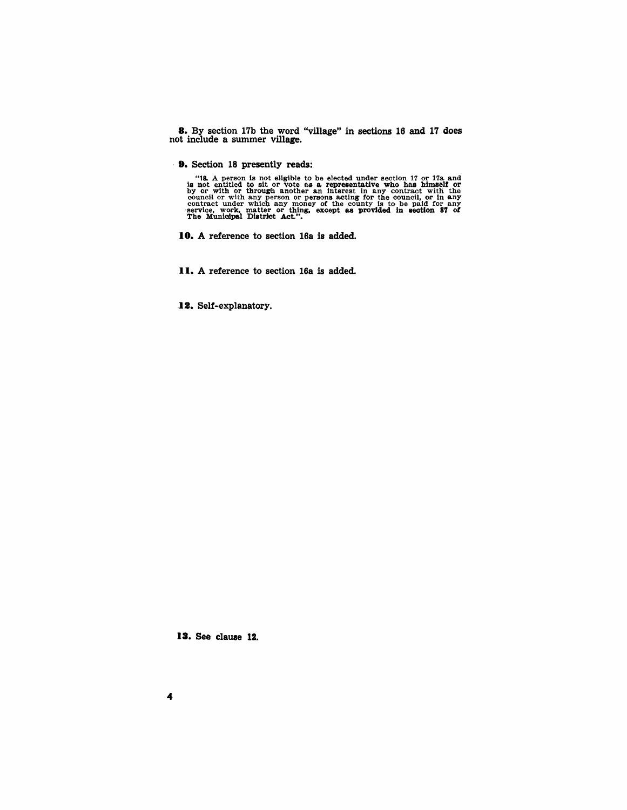8. By section 17b the word "village" in sections 16 and 17 does not include a summer village.

. 9. Section 18 presently reads:

"18. A person is not eligible to be elected under section 17 or 17a and is not entitled to sit or vote as a representative who has himself or<br>by or with or through another an interest in any contract with the council or with any person or persons acting for the council, or in any contract under which any money of the county is to be paid for any service, work, matter or thing, except as provided in section 37 of Service, work,

- 10. A reference to section 16a is added.
- II. A reference to section 16a is added.

12. Self-explanatory.

13. See clause 12.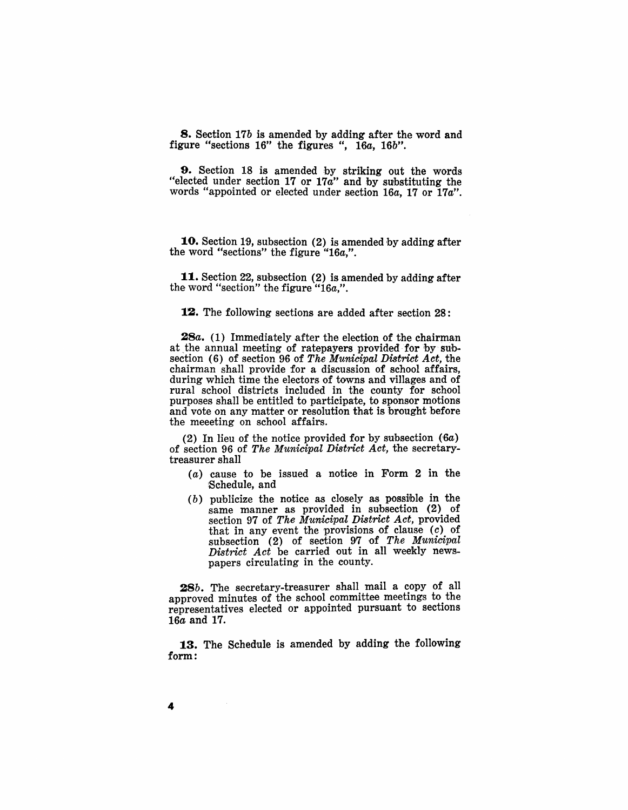8. Section *17b* is amended by adding after the word and figure "sections 16" the figures ", *16a, 16b".* 

9. Section 18 is amended by striking out the words "elected under section 17 or 17a" and by substituting the words "appointed or elected under section *16a,* 17 or *17a".* 

10. Section 19, subsection (2) is amended by adding after the word "sections" the figure *"16a,".* 

11. Section 22, subsection (2) is amended by adding after the word "section" the figure *"16a,".* 

#### **12.** The following sections are added after section 28:

*28a.* (1) Immediately after the election of the chairman at the annual meeting of ratepayers provided for by subsection (6) of section 96 of *The Municipal District Act,* the chairman shall provide for a discussion of school affairs, during which time the electors of towns and villages and of rural school districts included in the county for school purposes shall be entitled to participate, to sponsor motions and vote on any matter or resolution that is brought before the meeeting on school affairs.

(2) In lieu of the notice provided for by subsection  $(6a)$ of section 96 of *The Municipal District Act,* the secretarytreasurer shall

- $(a)$  cause to be issued a notice in Form 2 in the Schedule, and
- (b) publicize the notice as closely as possible in the same manner as provided in subsection  $(2)$  of section 97 of *The Municipal District Act,* provided that in any event the provisions of clause (c) of subsection (2) of section 97 of *The Municipal District Act* be carried out in all weekly newspapers circulating in the county.

*28b.* The secretary-treasurer shall mail a copy of all approved minutes of the school committee meetings to the representatives elected or appointed pursuant to sections 16a and 17.

13. The Schedule is amended by adding the following form: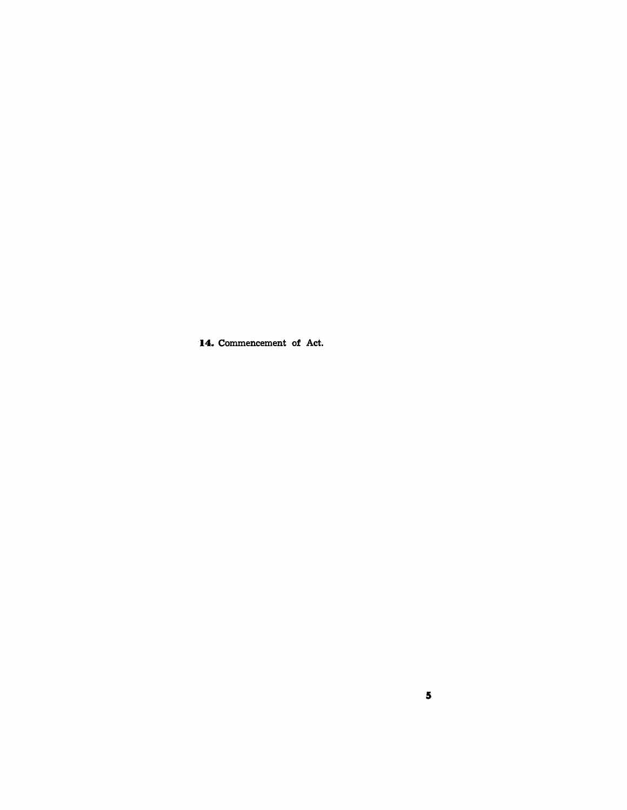**14.** Commencement of Act.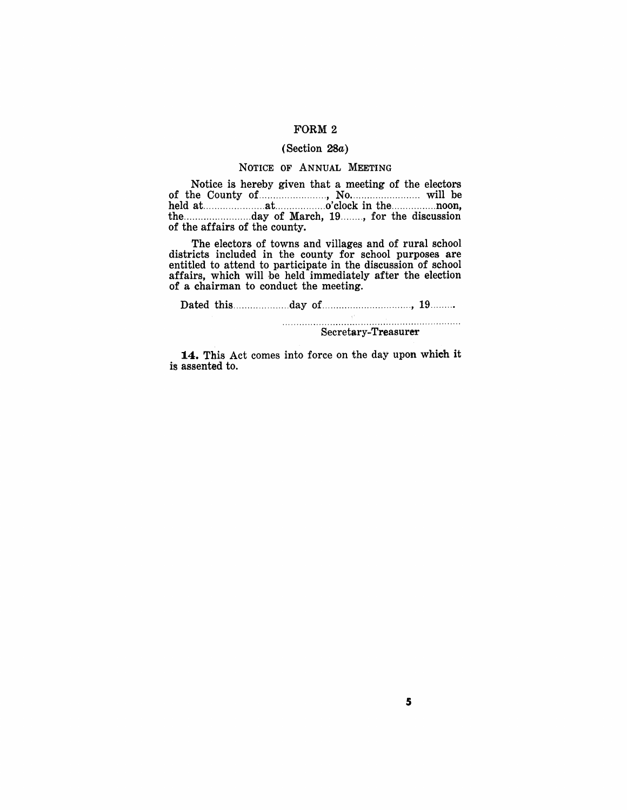#### FORM 2

#### (Section 28a)

#### NOTICE OF ANNUAL MEETING

Notice is hereby given that a meeting of the electors of the County of. ....................... , No ......................... will be held at. ..................... at. ................. o'clock in the ................ noon, the ........................ day of March, 19 ........ , for the discussion of the affairs of the county.

The electors of towns and villages and of rural school districts included in the county for school purposes are entitled to attend to participate in the discussion of school affairs, which will be held immediately after the election of a chairman to conduct the meeting.

Dated this .................... day of ................................ , 19 ........ .

Secretary~Treasurer

14. This Act comes into force on the day upon which it is assented to.